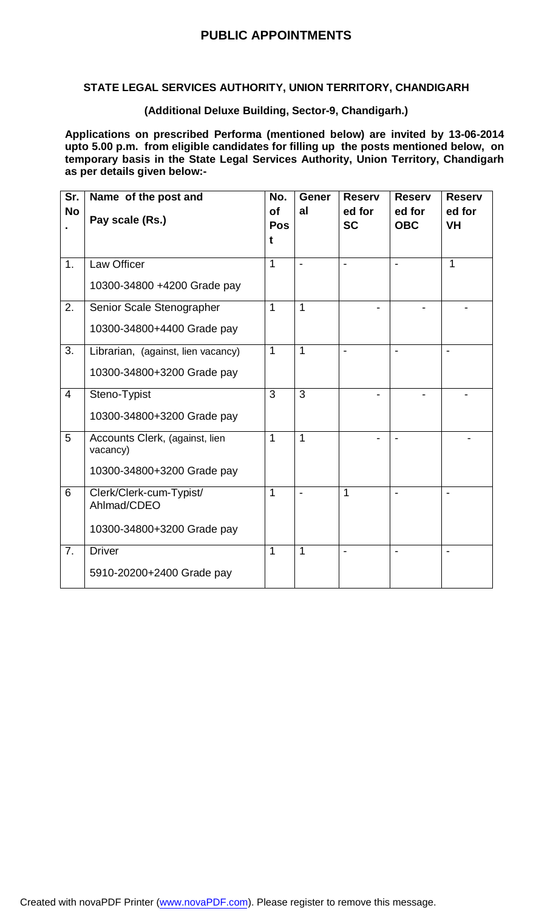## **PUBLIC APPOINTMENTS**

#### **STATE LEGAL SERVICES AUTHORITY, UNION TERRITORY, CHANDIGARH**

#### **(Additional Deluxe Building, Sector-9, Chandigarh.)**

**Applications on prescribed Performa (mentioned below) are invited by 13-06-2014 upto 5.00 p.m. from eligible candidates for filling up the posts mentioned below, on temporary basis in the State Legal Services Authority, Union Territory, Chandigarh as per details given below:-**

| Sr.            | Name of the post and                       | No.            | <b>Gener</b>   | <b>Reserv</b>       | <b>Reserv</b>        | <b>Reserv</b>       |
|----------------|--------------------------------------------|----------------|----------------|---------------------|----------------------|---------------------|
| <b>No</b>      | Pay scale (Rs.)                            | of<br>Pos      | al             | ed for<br><b>SC</b> | ed for<br><b>OBC</b> | ed for<br><b>VH</b> |
|                |                                            | t              |                |                     |                      |                     |
| 1.             | Law Officer                                | $\mathbf{1}$   | $\blacksquare$ |                     |                      | $\mathbf{1}$        |
|                | 10300-34800 +4200 Grade pay                |                |                |                     |                      |                     |
| 2.             | Senior Scale Stenographer                  | $\mathbf{1}$   | $\mathbf{1}$   |                     |                      |                     |
|                | 10300-34800+4400 Grade pay                 |                |                |                     |                      |                     |
| 3.             | Librarian, (against, lien vacancy)         | $\mathbf{1}$   | $\mathbf{1}$   |                     |                      |                     |
|                | 10300-34800+3200 Grade pay                 |                |                |                     |                      |                     |
| $\overline{4}$ | Steno-Typist                               | $\overline{3}$ | $\overline{3}$ |                     |                      |                     |
|                | 10300-34800+3200 Grade pay                 |                |                |                     |                      |                     |
| 5              | Accounts Clerk, (against, lien<br>vacancy) | $\overline{1}$ | $\overline{1}$ |                     |                      |                     |
|                | 10300-34800+3200 Grade pay                 |                |                |                     |                      |                     |
| 6              | Clerk/Clerk-cum-Typist/<br>Ahlmad/CDEO     | $\mathbf{1}$   | $\blacksquare$ | 1                   |                      |                     |
|                | 10300-34800+3200 Grade pay                 |                |                |                     |                      |                     |
| 7.             | <b>Driver</b>                              | $\mathbf{1}$   | $\mathbf{1}$   |                     |                      |                     |
|                |                                            |                |                |                     |                      |                     |
|                | 5910-20200+2400 Grade pay                  |                |                |                     |                      |                     |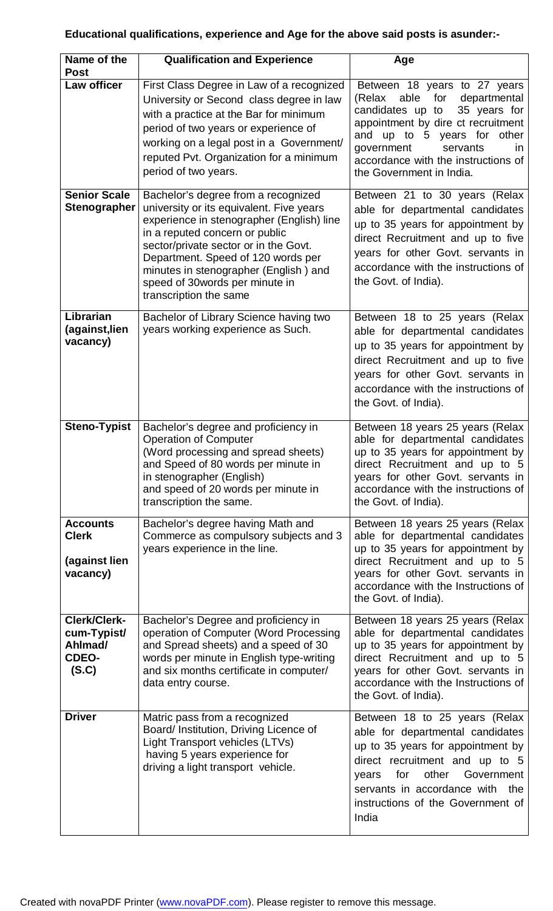# **Educational qualifications, experience and Age for the above said posts is asunder:-**

| Name of the<br><b>Post</b>                                      | <b>Qualification and Experience</b>                                                                                                                                                                                                                                                                                                                | Age                                                                                                                                                                                                                                                                                   |
|-----------------------------------------------------------------|----------------------------------------------------------------------------------------------------------------------------------------------------------------------------------------------------------------------------------------------------------------------------------------------------------------------------------------------------|---------------------------------------------------------------------------------------------------------------------------------------------------------------------------------------------------------------------------------------------------------------------------------------|
| Law officer                                                     | First Class Degree in Law of a recognized<br>University or Second class degree in law<br>with a practice at the Bar for minimum<br>period of two years or experience of<br>working on a legal post in a Government/<br>reputed Pvt. Organization for a minimum<br>period of two years.                                                             | Between 18 years to 27 years<br>able<br>for<br>(Relax<br>departmental<br>candidates up to<br>35 years for<br>appointment by dire ct recruitment<br>and up to 5 years for<br>other<br>servants<br>government<br>in.<br>accordance with the instructions of<br>the Government in India. |
| <b>Senior Scale</b><br><b>Stenographer</b>                      | Bachelor's degree from a recognized<br>university or its equivalent. Five years<br>experience in stenographer (English) line<br>in a reputed concern or public<br>sector/private sector or in the Govt.<br>Department. Speed of 120 words per<br>minutes in stenographer (English) and<br>speed of 30words per minute in<br>transcription the same | Between 21 to 30 years (Relax<br>able for departmental candidates<br>up to 35 years for appointment by<br>direct Recruitment and up to five<br>years for other Govt. servants in<br>accordance with the instructions of<br>the Govt. of India).                                       |
| Librarian<br>(against, lien<br>vacancy)                         | Bachelor of Library Science having two<br>years working experience as Such.                                                                                                                                                                                                                                                                        | Between 18 to 25 years (Relax<br>able for departmental candidates<br>up to 35 years for appointment by<br>direct Recruitment and up to five<br>years for other Govt. servants in<br>accordance with the instructions of<br>the Govt. of India).                                       |
| <b>Steno-Typist</b>                                             | Bachelor's degree and proficiency in<br><b>Operation of Computer</b><br>(Word processing and spread sheets)<br>and Speed of 80 words per minute in<br>in stenographer (English)<br>and speed of 20 words per minute in<br>transcription the same.                                                                                                  | Between 18 years 25 years (Relax<br>able for departmental candidates<br>up to 35 years for appointment by<br>direct Recruitment and up to 5<br>years for other Govt. servants in<br>accordance with the instructions of<br>the Govt. of India).                                       |
| <b>Accounts</b><br><b>Clerk</b><br>(against lien<br>vacancy)    | Bachelor's degree having Math and<br>Commerce as compulsory subjects and 3<br>years experience in the line.                                                                                                                                                                                                                                        | Between 18 years 25 years (Relax<br>able for departmental candidates<br>up to 35 years for appointment by<br>direct Recruitment and up to 5<br>years for other Govt. servants in<br>accordance with the Instructions of<br>the Govt. of India).                                       |
| <b>Clerk/Clerk-</b><br>cum-Typist/<br>Ahlmad/<br>CDEO-<br>(S.C) | Bachelor's Degree and proficiency in<br>operation of Computer (Word Processing<br>and Spread sheets) and a speed of 30<br>words per minute in English type-writing<br>and six months certificate in computer/<br>data entry course.                                                                                                                | Between 18 years 25 years (Relax<br>able for departmental candidates<br>up to 35 years for appointment by<br>direct Recruitment and up to 5<br>years for other Govt. servants in<br>accordance with the Instructions of<br>the Govt. of India).                                       |
| <b>Driver</b>                                                   | Matric pass from a recognized<br>Board/ Institution, Driving Licence of<br>Light Transport vehicles (LTVs)<br>having 5 years experience for<br>driving a light transport vehicle.                                                                                                                                                                  | Between 18 to 25 years (Relax<br>able for departmental candidates<br>up to 35 years for appointment by<br>direct recruitment and up to 5<br>Government<br>other<br>for<br>years<br>servants in accordance with<br>the<br>instructions of the Government of<br>India                   |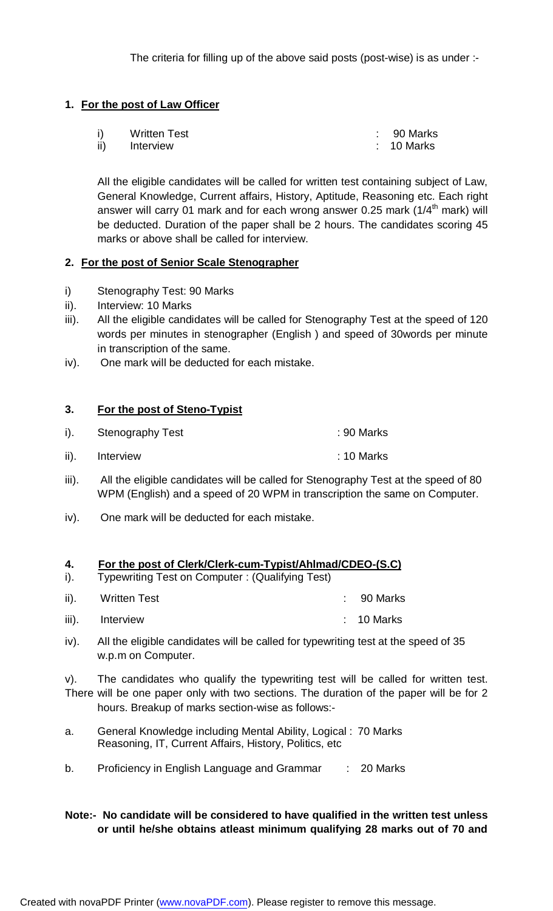#### **1. For the post of Law Officer**

|     | <b>Written Test</b> | $\therefore$ 90 Marks |
|-----|---------------------|-----------------------|
| ii) | Interview           | $\therefore$ 10 Marks |

All the eligible candidates will be called for written test containing subject of Law, General Knowledge, Current affairs, History, Aptitude, Reasoning etc. Each right answer will carry 01 mark and for each wrong answer 0.25 mark (1/4<sup>th</sup> mark) will be deducted. Duration of the paper shall be 2 hours. The candidates scoring 45 marks or above shall be called for interview.

#### **2. For the post of Senior Scale Stenographer**

- i) Stenography Test: 90 Marks
- ii). Interview: 10 Marks
- iii). All the eligible candidates will be called for Stenography Test at the speed of 120 words per minutes in stenographer (English ) and speed of 30words per minute in transcription of the same.
- iv). One mark will be deducted for each mistake.

#### **3. For the post of Steno-Typist**

- i). Stenography Test : 90 Marks
- ii). Interview : 10 Marks
- iii). All the eligible candidates will be called for Stenography Test at the speed of 80 WPM (English) and a speed of 20 WPM in transcription the same on Computer.
- iv). One mark will be deducted for each mistake.

#### **4. For the post of Clerk/Clerk-cum-Typist/Ahlmad/CDEO-(S.C)**

- i). Typewriting Test on Computer : (Qualifying Test)
- ii). Written Test **in the Strategier of the UK and Strategier Control** in the Strategier of the Strategier of the Strategier of the Strategier of the Strategier of the Strategier of the Strategier of the Strategier of the
- iii). Interview : 10 Marks
- iv). All the eligible candidates will be called for typewriting test at the speed of 35 w.p.m on Computer.

v). The candidates who qualify the typewriting test will be called for written test. There will be one paper only with two sections. The duration of the paper will be for 2 hours. Breakup of marks section-wise as follows:-

- a. General Knowledge including Mental Ability, Logical : 70 Marks Reasoning, IT, Current Affairs, History, Politics, etc
- b. Proficiency in English Language and Grammar : 20 Marks

#### **Note:- No candidate will be considered to have qualified in the written test unless or until he/she obtains atleast minimum qualifying 28 marks out of 70 and**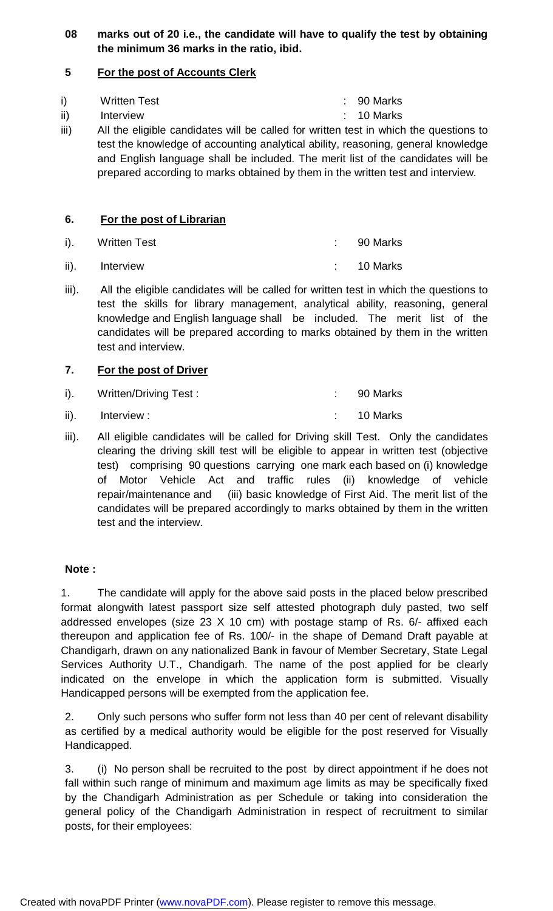### **08 marks out of 20 i.e., the candidate will have to qualify the test by obtaining the minimum 36 marks in the ratio, ibid.**

### **5 For the post of Accounts Clerk**

|     | <b>Written Test</b> | $: 90$ Marks          |
|-----|---------------------|-----------------------|
| ii) | Interview           | $\therefore$ 10 Marks |

iii) All the eligible candidates will be called for written test in which the questions to test the knowledge of accounting analytical ability, reasoning, general knowledge and English language shall be included. The merit list of the candidates will be prepared according to marks obtained by them in the written test and interview.

### **6. For the post of Librarian**

| i). Written Test | $\therefore$ 90 Marks |
|------------------|-----------------------|
| ii). Interview   | $\therefore$ 10 Marks |

iii). All the eligible candidates will be called for written test in which the questions to test the skills for library management, analytical ability, reasoning, general knowledge and English language shall be included. The merit list of the candidates will be prepared according to marks obtained by them in the written test and interview.

### **7. For the post of Driver**

| $i$ ).          | Written/Driving Test: | $\therefore$ 90 Marks |
|-----------------|-----------------------|-----------------------|
| $\mathsf{ii}$ . | Interview :           | $\therefore$ 10 Marks |

iii). All eligible candidates will be called for Driving skill Test. Only the candidates clearing the driving skill test will be eligible to appear in written test (objective test) comprising 90 questions carrying one mark each based on (i) knowledge of Motor Vehicle Act and traffic rules (ii) knowledge of vehicle repair/maintenance and (iii) basic knowledge of First Aid. The merit list of the candidates will be prepared accordingly to marks obtained by them in the written test and the interview.

#### **Note :**

1. The candidate will apply for the above said posts in the placed below prescribed format alongwith latest passport size self attested photograph duly pasted, two self addressed envelopes (size 23 X 10 cm) with postage stamp of Rs. 6/- affixed each thereupon and application fee of Rs. 100/- in the shape of Demand Draft payable at Chandigarh, drawn on any nationalized Bank in favour of Member Secretary, State Legal Services Authority U.T., Chandigarh. The name of the post applied for be clearly indicated on the envelope in which the application form is submitted. Visually Handicapped persons will be exempted from the application fee.

2. Only such persons who suffer form not less than 40 per cent of relevant disability as certified by a medical authority would be eligible for the post reserved for Visually Handicapped.

3. (i) No person shall be recruited to the post by direct appointment if he does not fall within such range of minimum and maximum age limits as may be specifically fixed by the Chandigarh Administration as per Schedule or taking into consideration the general policy of the Chandigarh Administration in respect of recruitment to similar posts, for their employees: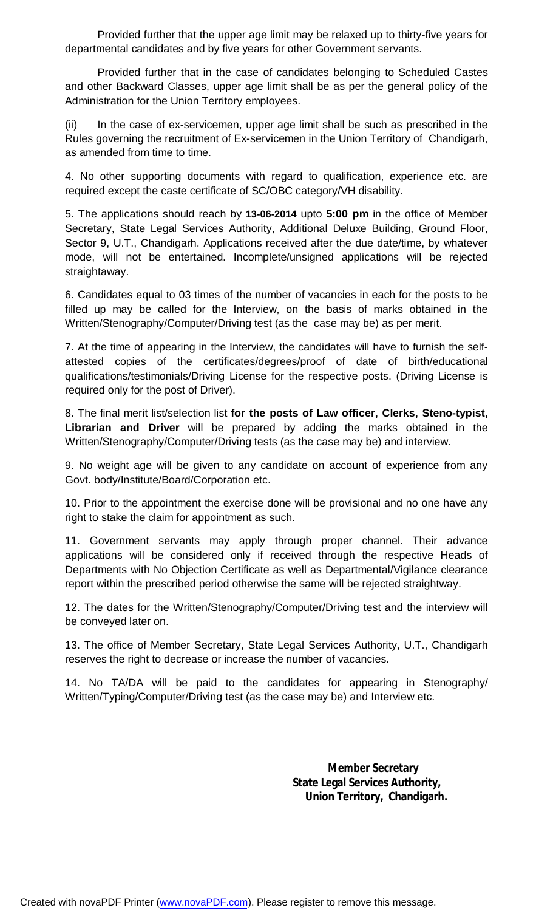Provided further that the upper age limit may be relaxed up to thirty-five years for departmental candidates and by five years for other Government servants.

Provided further that in the case of candidates belonging to Scheduled Castes and other Backward Classes, upper age limit shall be as per the general policy of the Administration for the Union Territory employees.

(ii) In the case of ex-servicemen, upper age limit shall be such as prescribed in the Rules governing the recruitment of Ex-servicemen in the Union Territory of Chandigarh, as amended from time to time.

4. No other supporting documents with regard to qualification, experience etc. are required except the caste certificate of SC/OBC category/VH disability.

5. The applications should reach by **13-06-2014** upto **5:00 pm** in the office of Member Secretary, State Legal Services Authority, Additional Deluxe Building, Ground Floor, Sector 9, U.T., Chandigarh. Applications received after the due date/time, by whatever mode, will not be entertained. Incomplete/unsigned applications will be rejected straightaway.

6. Candidates equal to 03 times of the number of vacancies in each for the posts to be filled up may be called for the Interview, on the basis of marks obtained in the Written/Stenography/Computer/Driving test (as the case may be) as per merit.

7. At the time of appearing in the Interview, the candidates will have to furnish the selfattested copies of the certificates/degrees/proof of date of birth/educational qualifications/testimonials/Driving License for the respective posts. (Driving License is required only for the post of Driver).

8. The final merit list/selection list **for the posts of Law officer, Clerks, Steno-typist, Librarian and Driver** will be prepared by adding the marks obtained in the Written/Stenography/Computer/Driving tests (as the case may be) and interview.

9. No weight age will be given to any candidate on account of experience from any Govt. body/Institute/Board/Corporation etc.

10. Prior to the appointment the exercise done will be provisional and no one have any right to stake the claim for appointment as such.

11. Government servants may apply through proper channel. Their advance applications will be considered only if received through the respective Heads of Departments with No Objection Certificate as well as Departmental/Vigilance clearance report within the prescribed period otherwise the same will be rejected straightway.

12. The dates for the Written/Stenography/Computer/Driving test and the interview will be conveyed later on.

13. The office of Member Secretary, State Legal Services Authority, U.T., Chandigarh reserves the right to decrease or increase the number of vacancies.

14. No TA/DA will be paid to the candidates for appearing in Stenography/ Written/Typing/Computer/Driving test (as the case may be) and Interview etc.

> **Member Secretary State Legal Services Authority, Union Territory, Chandigarh.**